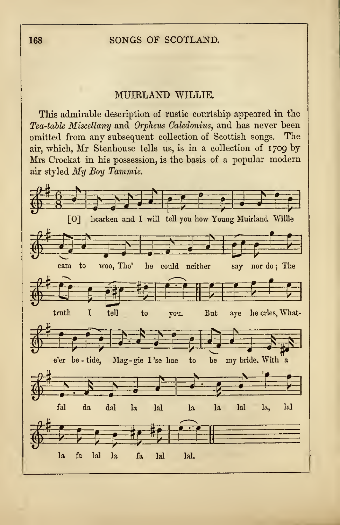## SONGS OF SCOTLAND.

## MUIRLAND WILLIE.

This admirable description of rustic courtship appeared in the Tea-table Miscellany and Orpheus Caledonius, and has never been omitted from any subsequent collection of Scottish songs. The air, which, Mr Stenhouse tells us, is in a collection of 1709 by Mrs Crockat in his possession, is the basis of a popular modern air styled My Boy Tammie.

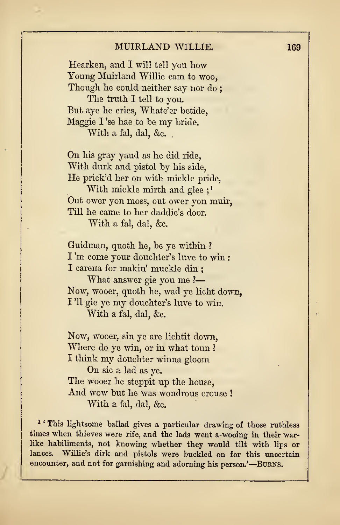## MUIRLAND WILLIE. 169

Hearken, and <sup>I</sup> will tell you how Young Muirland Willie cam to woo, Though he could neither say nor do; The truth I tell to you. But aye he cries, Whate'er betide, Maggie <sup>I</sup> 'se hae to be my bride. With a fal, dal, &c.

On his gray yaud as he did ride, With durk and pistol by his side, He prick'd her on with mickle pride,

With mickle mirth and glee ;<sup>1</sup> Out ower yon moss, out ower yon muir, Till he came to her daddie's door. With a fal, dal, &c.

Guidman, quoth he, be ye within ? I'm come your douchter's luve to win: I carena for makin' muckle din ;

What answer gie you me ? Now, wooer, quoth he, wad ye licht down, <sup>I</sup> '11 gie ye my douchter's luve to win. With a fal, dal, &c.

Now, wooer, sin ye are lichtit down, Where do ye win, or in what toun ? <sup>I</sup> think my douchter winna gloom

On sic a lad as ye. The wooer he steppit up the house, And wow but he was wondrous crouse ! With a fal, dal, &c.

<sup>1</sup> ' This lightsome ballad gives a particular drawing of those ruthless times when thieves were rife, and the lads went a-wooing in their warlike habiliments, not knowing whether they would tilt with lips or lances. Willie's dirk and pistols were buckled on for this uncertain encounter, and not for garnishing and adorning his person.'—BURNS.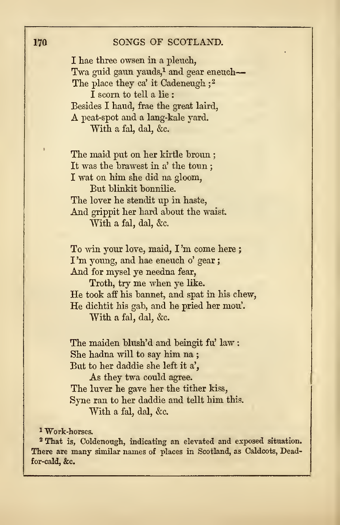## 170 SONGS OF SCOTLAND.

I hae three owsen in a pleuch, Twa guid gaun yauds,<sup>1</sup> and gear eneuch-The place they ca' it Cadeneugh :<sup>2</sup> I scorn to tell a lie : Besides I haud, frae the great laird, A peat-spot and <sup>a</sup> lang-kale yard. With a fal, dal, &c.

The maid put on her kirtle broun ; It was the brawest in a' the toun ; I wat on him she did na gloom, But blinkit bonnilie. The lover he stendit up in haste. And grippit her hard about the waist. With a fal, dal, &c.

To win your love, maid, I 'm come here I'm young, and hae eneuch o' gear; And for mysel ye needna fear,

Troth, try me when ye like. He took aff his bannet, and spat in his chew, He dichtit his gab, and he pried her mou'. With a fal, dal, &c.

The maiden blush'd and beingit fu' law : She hadna will to say him na ; But to her daddie she left it a',

As they twa could agree. The luver he gave her the tither kiss, Syne ran to her daddie and tellt him fins. With a fal, dal, &c.

<sup>1</sup> Wort-horses.

<sup>2</sup> That is, Coldenough, indicating an elevated and exposed situation. There are many similar names of places in Scotland, as Caldcots, Deadfor-cald, &c.